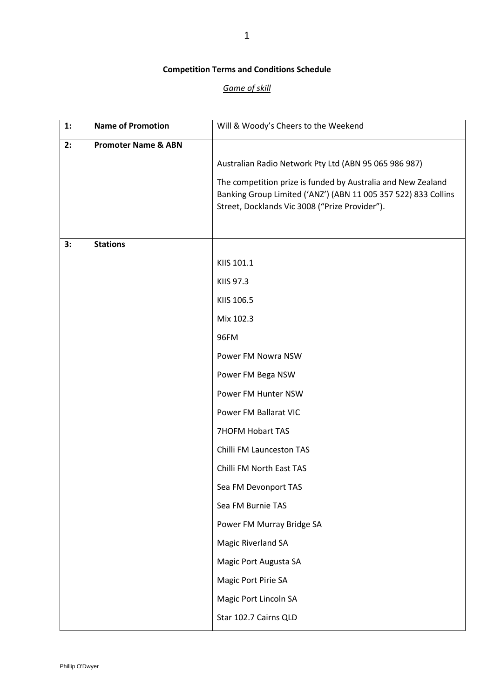## **Competition Terms and Conditions Schedule**

# *Game of skill*

| 1: | <b>Name of Promotion</b>       | Will & Woody's Cheers to the Weekend                                                                                                                                             |
|----|--------------------------------|----------------------------------------------------------------------------------------------------------------------------------------------------------------------------------|
| 2: | <b>Promoter Name &amp; ABN</b> |                                                                                                                                                                                  |
|    |                                | Australian Radio Network Pty Ltd (ABN 95 065 986 987)                                                                                                                            |
|    |                                | The competition prize is funded by Australia and New Zealand<br>Banking Group Limited ('ANZ') (ABN 11 005 357 522) 833 Collins<br>Street, Docklands Vic 3008 ("Prize Provider"). |
| 3: | <b>Stations</b>                |                                                                                                                                                                                  |
|    |                                | KIIS 101.1                                                                                                                                                                       |
|    |                                | KIIS 97.3                                                                                                                                                                        |
|    |                                | KIIS 106.5                                                                                                                                                                       |
|    |                                | Mix 102.3                                                                                                                                                                        |
|    |                                | 96FM                                                                                                                                                                             |
|    |                                | Power FM Nowra NSW                                                                                                                                                               |
|    |                                | Power FM Bega NSW                                                                                                                                                                |
|    |                                | Power FM Hunter NSW                                                                                                                                                              |
|    |                                | Power FM Ballarat VIC                                                                                                                                                            |
|    |                                | 7HOFM Hobart TAS                                                                                                                                                                 |
|    |                                | Chilli FM Launceston TAS                                                                                                                                                         |
|    |                                | Chilli FM North East TAS                                                                                                                                                         |
|    |                                | Sea FM Devonport TAS                                                                                                                                                             |
|    |                                | Sea FM Burnie TAS                                                                                                                                                                |
|    |                                | Power FM Murray Bridge SA                                                                                                                                                        |
|    |                                | <b>Magic Riverland SA</b>                                                                                                                                                        |
|    |                                | Magic Port Augusta SA                                                                                                                                                            |
|    |                                | Magic Port Pirie SA                                                                                                                                                              |
|    |                                | Magic Port Lincoln SA                                                                                                                                                            |
|    |                                | Star 102.7 Cairns QLD                                                                                                                                                            |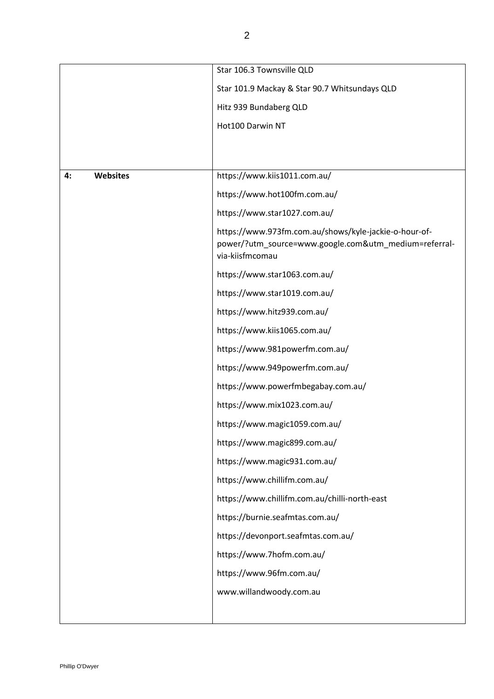|    |          | Star 106.3 Townsville QLD                                                                                                         |
|----|----------|-----------------------------------------------------------------------------------------------------------------------------------|
|    |          | Star 101.9 Mackay & Star 90.7 Whitsundays QLD                                                                                     |
|    |          | Hitz 939 Bundaberg QLD                                                                                                            |
|    |          | Hot100 Darwin NT                                                                                                                  |
|    |          |                                                                                                                                   |
|    |          |                                                                                                                                   |
| 4: | Websites | https://www.kiis1011.com.au/                                                                                                      |
|    |          | https://www.hot100fm.com.au/                                                                                                      |
|    |          | https://www.star1027.com.au/                                                                                                      |
|    |          | https://www.973fm.com.au/shows/kyle-jackie-o-hour-of-<br>power/?utm_source=www.google.com&utm_medium=referral-<br>via-kiisfmcomau |
|    |          | https://www.star1063.com.au/                                                                                                      |
|    |          | https://www.star1019.com.au/                                                                                                      |
|    |          | https://www.hitz939.com.au/                                                                                                       |
|    |          | https://www.kiis1065.com.au/                                                                                                      |
|    |          | https://www.981powerfm.com.au/                                                                                                    |
|    |          | https://www.949powerfm.com.au/                                                                                                    |
|    |          | https://www.powerfmbegabay.com.au/                                                                                                |
|    |          | https://www.mix1023.com.au/                                                                                                       |
|    |          | https://www.magic1059.com.au/                                                                                                     |
|    |          | https://www.magic899.com.au/                                                                                                      |
|    |          | https://www.magic931.com.au/                                                                                                      |
|    |          | https://www.chillifm.com.au/                                                                                                      |
|    |          | https://www.chillifm.com.au/chilli-north-east                                                                                     |
|    |          | https://burnie.seafmtas.com.au/                                                                                                   |
|    |          | https://devonport.seafmtas.com.au/                                                                                                |
|    |          | https://www.7hofm.com.au/                                                                                                         |
|    |          | https://www.96fm.com.au/                                                                                                          |
|    |          | www.willandwoody.com.au                                                                                                           |
|    |          |                                                                                                                                   |
|    |          |                                                                                                                                   |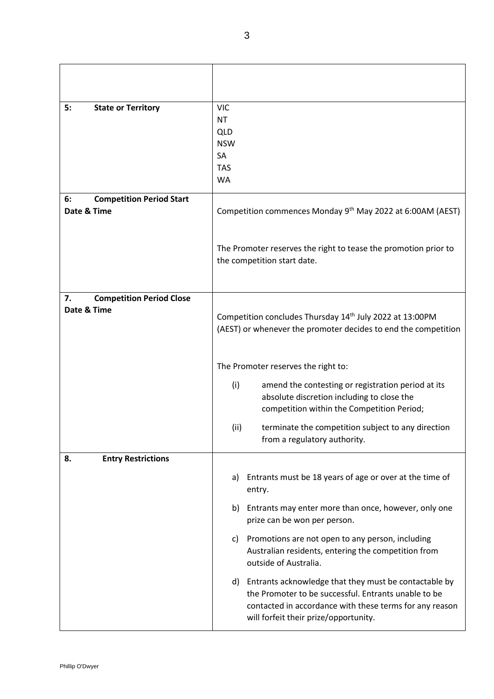| 5:<br><b>State or Territory</b>       | <b>VIC</b>                                                             |
|---------------------------------------|------------------------------------------------------------------------|
|                                       | <b>NT</b>                                                              |
|                                       | <b>QLD</b>                                                             |
|                                       | <b>NSW</b>                                                             |
|                                       | <b>SA</b>                                                              |
|                                       | <b>TAS</b>                                                             |
|                                       | <b>WA</b>                                                              |
|                                       |                                                                        |
| <b>Competition Period Start</b><br>6: |                                                                        |
| Date & Time                           | Competition commences Monday 9 <sup>th</sup> May 2022 at 6:00AM (AEST) |
|                                       |                                                                        |
|                                       |                                                                        |
|                                       |                                                                        |
|                                       | The Promoter reserves the right to tease the promotion prior to        |
|                                       | the competition start date.                                            |
|                                       |                                                                        |
|                                       |                                                                        |
| <b>Competition Period Close</b><br>7. |                                                                        |
| Date & Time                           | Competition concludes Thursday 14th July 2022 at 13:00PM               |
|                                       |                                                                        |
|                                       | (AEST) or whenever the promoter decides to end the competition         |
|                                       |                                                                        |
|                                       |                                                                        |
|                                       | The Promoter reserves the right to:                                    |
|                                       | (i)<br>amend the contesting or registration period at its              |
|                                       | absolute discretion including to close the                             |
|                                       | competition within the Competition Period;                             |
|                                       |                                                                        |
|                                       | (ii)<br>terminate the competition subject to any direction             |
|                                       | from a regulatory authority.                                           |
|                                       |                                                                        |
| <b>Entry Restrictions</b><br>8.       |                                                                        |
|                                       | Entrants must be 18 years of age or over at the time of<br>a)          |
|                                       | entry.                                                                 |
|                                       |                                                                        |
|                                       | Entrants may enter more than once, however, only one<br>b)             |
|                                       | prize can be won per person.                                           |
|                                       |                                                                        |
|                                       | Promotions are not open to any person, including<br>C)                 |
|                                       | Australian residents, entering the competition from                    |
|                                       | outside of Australia.                                                  |
|                                       | Entrants acknowledge that they must be contactable by<br>d)            |
|                                       | the Promoter to be successful. Entrants unable to be                   |
|                                       | contacted in accordance with these terms for any reason                |
|                                       | will forfeit their prize/opportunity.                                  |
|                                       |                                                                        |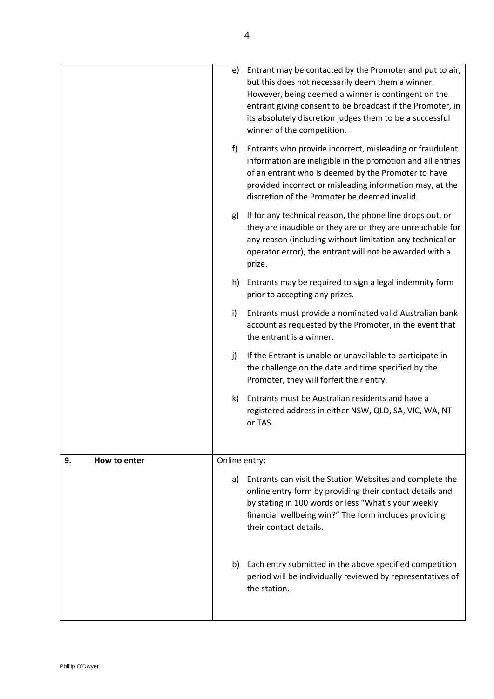|                    | e) Entrant may be contacted by the Promoter and put to air,<br>but this does not necessarily deem them a winner.<br>However, being deemed a winner is contingent on the<br>entrant giving consent to be broadcast if the Promoter, in<br>its absolutely discretion judges them to be a successful<br>winner of the competition. |
|--------------------|---------------------------------------------------------------------------------------------------------------------------------------------------------------------------------------------------------------------------------------------------------------------------------------------------------------------------------|
|                    | f)<br>Entrants who provide incorrect, misleading or fraudulent<br>information are ineligible in the promotion and all entries<br>of an entrant who is deemed by the Promoter to have<br>provided incorrect or misleading information may, at the<br>discretion of the Promoter be deemed invalid.                               |
|                    | If for any technical reason, the phone line drops out, or<br>g)<br>they are inaudible or they are or they are unreachable for<br>any reason (including without limitation any technical or<br>operator error), the entrant will not be awarded with a<br>prize.                                                                 |
|                    | h) Entrants may be required to sign a legal indemnity form<br>prior to accepting any prizes.                                                                                                                                                                                                                                    |
|                    | i)<br>Entrants must provide a nominated valid Australian bank<br>account as requested by the Promoter, in the event that<br>the entrant is a winner.                                                                                                                                                                            |
|                    | j)<br>If the Entrant is unable or unavailable to participate in<br>the challenge on the date and time specified by the<br>Promoter, they will forfeit their entry.                                                                                                                                                              |
|                    | k)<br>Entrants must be Australian residents and have a<br>registered address in either NSW, QLD, SA, VIC, WA, NT<br>or TAS.                                                                                                                                                                                                     |
| 9.<br>How to enter | Online entry:                                                                                                                                                                                                                                                                                                                   |
|                    | Entrants can visit the Station Websites and complete the<br>a)<br>online entry form by providing their contact details and<br>by stating in 100 words or less "What's your weekly<br>financial wellbeing win?" The form includes providing<br>their contact details.                                                            |
|                    | b) Each entry submitted in the above specified competition<br>period will be individually reviewed by representatives of<br>the station.                                                                                                                                                                                        |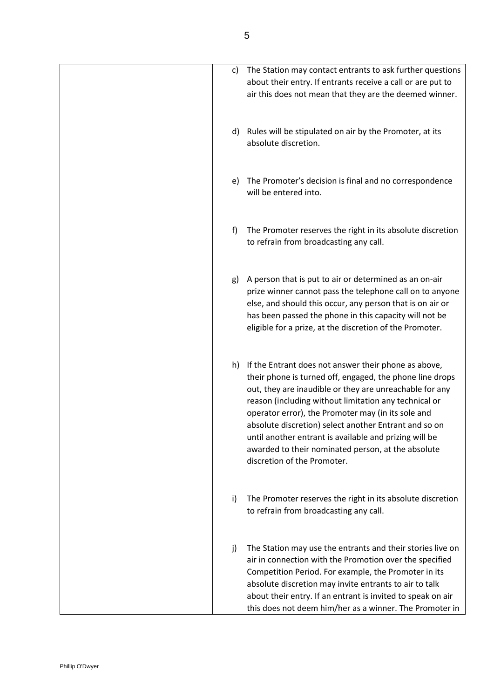| c) | The Station may contact entrants to ask further questions<br>about their entry. If entrants receive a call or are put to<br>air this does not mean that they are the deemed winner.                                                                                                                                                                                                                                                                                                                   |
|----|-------------------------------------------------------------------------------------------------------------------------------------------------------------------------------------------------------------------------------------------------------------------------------------------------------------------------------------------------------------------------------------------------------------------------------------------------------------------------------------------------------|
| d) | Rules will be stipulated on air by the Promoter, at its<br>absolute discretion.                                                                                                                                                                                                                                                                                                                                                                                                                       |
| e) | The Promoter's decision is final and no correspondence<br>will be entered into.                                                                                                                                                                                                                                                                                                                                                                                                                       |
| f) | The Promoter reserves the right in its absolute discretion<br>to refrain from broadcasting any call.                                                                                                                                                                                                                                                                                                                                                                                                  |
| g) | A person that is put to air or determined as an on-air<br>prize winner cannot pass the telephone call on to anyone<br>else, and should this occur, any person that is on air or<br>has been passed the phone in this capacity will not be<br>eligible for a prize, at the discretion of the Promoter.                                                                                                                                                                                                 |
|    | h) If the Entrant does not answer their phone as above,<br>their phone is turned off, engaged, the phone line drops<br>out, they are inaudible or they are unreachable for any<br>reason (including without limitation any technical or<br>operator error), the Promoter may (in its sole and<br>absolute discretion) select another Entrant and so on<br>until another entrant is available and prizing will be<br>awarded to their nominated person, at the absolute<br>discretion of the Promoter. |
| i) | The Promoter reserves the right in its absolute discretion<br>to refrain from broadcasting any call.                                                                                                                                                                                                                                                                                                                                                                                                  |
| j) | The Station may use the entrants and their stories live on<br>air in connection with the Promotion over the specified<br>Competition Period. For example, the Promoter in its<br>absolute discretion may invite entrants to air to talk<br>about their entry. If an entrant is invited to speak on air<br>this does not deem him/her as a winner. The Promoter in                                                                                                                                     |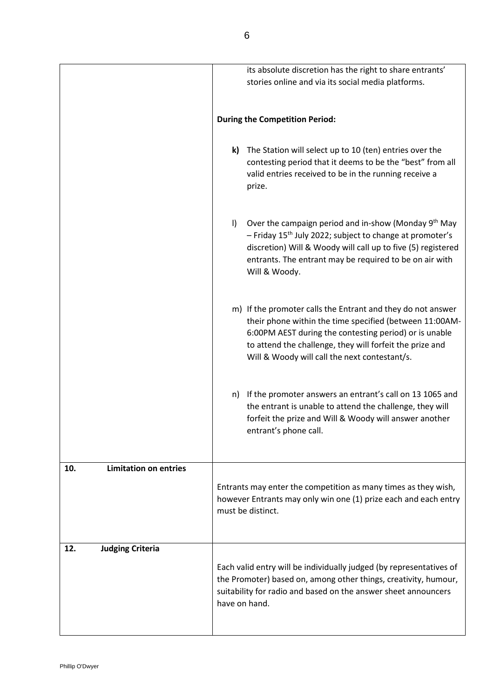| its absolute discretion has the right to share entrants'                                                                                                                                                                                                              |
|-----------------------------------------------------------------------------------------------------------------------------------------------------------------------------------------------------------------------------------------------------------------------|
|                                                                                                                                                                                                                                                                       |
|                                                                                                                                                                                                                                                                       |
| The Station will select up to 10 (ten) entries over the<br>contesting period that it deems to be the "best" from all                                                                                                                                                  |
| Over the campaign period and in-show (Monday 9 <sup>th</sup> May<br>$-$ Friday 15 <sup>th</sup> July 2022; subject to change at promoter's<br>discretion) Will & Woody will call up to five (5) registered<br>entrants. The entrant may be required to be on air with |
| m) If the promoter calls the Entrant and they do not answer<br>their phone within the time specified (between 11:00AM-<br>6:00PM AEST during the contesting period) or is unable<br>to attend the challenge, they will forfeit the prize and                          |
| If the promoter answers an entrant's call on 13 1065 and<br>the entrant is unable to attend the challenge, they will<br>forfeit the prize and Will & Woody will answer another                                                                                        |
|                                                                                                                                                                                                                                                                       |
| Entrants may enter the competition as many times as they wish,<br>however Entrants may only win one (1) prize each and each entry                                                                                                                                     |
|                                                                                                                                                                                                                                                                       |
| Each valid entry will be individually judged (by representatives of<br>the Promoter) based on, among other things, creativity, humour,<br>suitability for radio and based on the answer sheet announcers                                                              |
|                                                                                                                                                                                                                                                                       |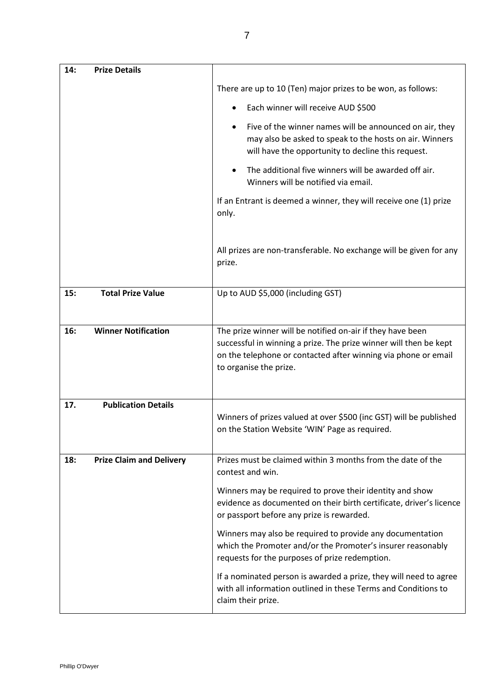| 14: | <b>Prize Details</b>            |                                                                                                                                                                                       |
|-----|---------------------------------|---------------------------------------------------------------------------------------------------------------------------------------------------------------------------------------|
|     |                                 | There are up to 10 (Ten) major prizes to be won, as follows:                                                                                                                          |
|     |                                 | Each winner will receive AUD \$500                                                                                                                                                    |
|     |                                 |                                                                                                                                                                                       |
|     |                                 | Five of the winner names will be announced on air, they<br>$\bullet$<br>may also be asked to speak to the hosts on air. Winners<br>will have the opportunity to decline this request. |
|     |                                 | The additional five winners will be awarded off air.<br>Winners will be notified via email.                                                                                           |
|     |                                 | If an Entrant is deemed a winner, they will receive one (1) prize<br>only.                                                                                                            |
|     |                                 | All prizes are non-transferable. No exchange will be given for any<br>prize.                                                                                                          |
| 15: | <b>Total Prize Value</b>        | Up to AUD \$5,000 (including GST)                                                                                                                                                     |
|     |                                 |                                                                                                                                                                                       |
| 16: | <b>Winner Notification</b>      | The prize winner will be notified on-air if they have been                                                                                                                            |
|     |                                 | successful in winning a prize. The prize winner will then be kept<br>on the telephone or contacted after winning via phone or email<br>to organise the prize.                         |
|     |                                 |                                                                                                                                                                                       |
| 17. | <b>Publication Details</b>      | Winners of prizes valued at over \$500 (inc GST) will be published<br>on the Station Website 'WIN' Page as required.                                                                  |
| 18: | <b>Prize Claim and Delivery</b> | Prizes must be claimed within 3 months from the date of the<br>contest and win.                                                                                                       |
|     |                                 | Winners may be required to prove their identity and show<br>evidence as documented on their birth certificate, driver's licence<br>or passport before any prize is rewarded.          |
|     |                                 | Winners may also be required to provide any documentation<br>which the Promoter and/or the Promoter's insurer reasonably<br>requests for the purposes of prize redemption.            |
|     |                                 | If a nominated person is awarded a prize, they will need to agree<br>with all information outlined in these Terms and Conditions to<br>claim their prize.                             |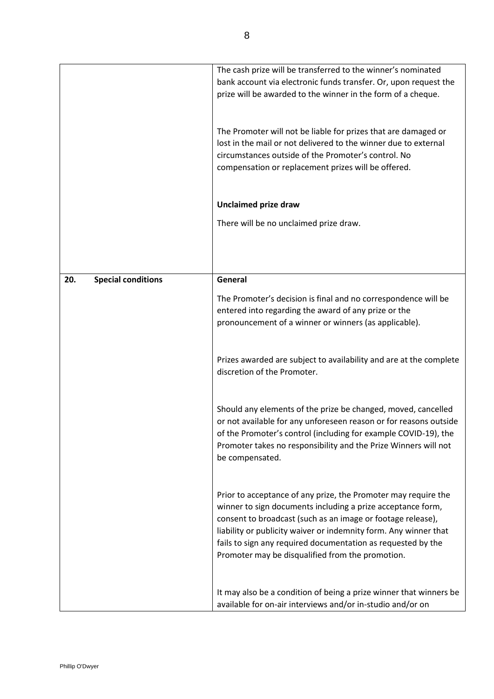|                                  | The cash prize will be transferred to the winner's nominated<br>bank account via electronic funds transfer. Or, upon request the<br>prize will be awarded to the winner in the form of a cheque.                                                                                                                                                                                     |
|----------------------------------|--------------------------------------------------------------------------------------------------------------------------------------------------------------------------------------------------------------------------------------------------------------------------------------------------------------------------------------------------------------------------------------|
|                                  | The Promoter will not be liable for prizes that are damaged or<br>lost in the mail or not delivered to the winner due to external<br>circumstances outside of the Promoter's control. No<br>compensation or replacement prizes will be offered.                                                                                                                                      |
|                                  |                                                                                                                                                                                                                                                                                                                                                                                      |
|                                  | <b>Unclaimed prize draw</b>                                                                                                                                                                                                                                                                                                                                                          |
|                                  | There will be no unclaimed prize draw.                                                                                                                                                                                                                                                                                                                                               |
|                                  |                                                                                                                                                                                                                                                                                                                                                                                      |
| 20.<br><b>Special conditions</b> | General                                                                                                                                                                                                                                                                                                                                                                              |
|                                  | The Promoter's decision is final and no correspondence will be<br>entered into regarding the award of any prize or the<br>pronouncement of a winner or winners (as applicable).                                                                                                                                                                                                      |
|                                  | Prizes awarded are subject to availability and are at the complete<br>discretion of the Promoter.                                                                                                                                                                                                                                                                                    |
|                                  | Should any elements of the prize be changed, moved, cancelled<br>or not available for any unforeseen reason or for reasons outside<br>of the Promoter's control (including for example COVID-19), the<br>Promoter takes no responsibility and the Prize Winners will not<br>be compensated.                                                                                          |
|                                  | Prior to acceptance of any prize, the Promoter may require the<br>winner to sign documents including a prize acceptance form,<br>consent to broadcast (such as an image or footage release),<br>liability or publicity waiver or indemnity form. Any winner that<br>fails to sign any required documentation as requested by the<br>Promoter may be disqualified from the promotion. |
|                                  | It may also be a condition of being a prize winner that winners be<br>available for on-air interviews and/or in-studio and/or on                                                                                                                                                                                                                                                     |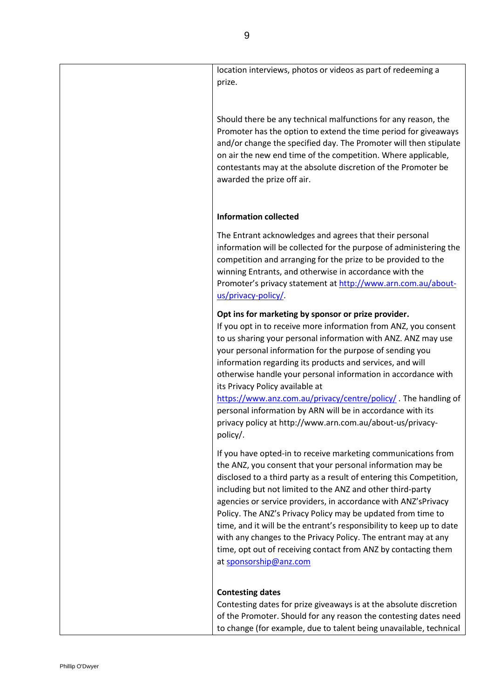| location interviews, photos or videos as part of redeeming a<br>prize.                                                                                                                                                                                                                                                                                                                                                                                                                                                                                                                                                                    |
|-------------------------------------------------------------------------------------------------------------------------------------------------------------------------------------------------------------------------------------------------------------------------------------------------------------------------------------------------------------------------------------------------------------------------------------------------------------------------------------------------------------------------------------------------------------------------------------------------------------------------------------------|
| Should there be any technical malfunctions for any reason, the<br>Promoter has the option to extend the time period for giveaways<br>and/or change the specified day. The Promoter will then stipulate<br>on air the new end time of the competition. Where applicable,<br>contestants may at the absolute discretion of the Promoter be<br>awarded the prize off air.                                                                                                                                                                                                                                                                    |
| <b>Information collected</b>                                                                                                                                                                                                                                                                                                                                                                                                                                                                                                                                                                                                              |
| The Entrant acknowledges and agrees that their personal<br>information will be collected for the purpose of administering the<br>competition and arranging for the prize to be provided to the<br>winning Entrants, and otherwise in accordance with the<br>Promoter's privacy statement at http://www.arn.com.au/about-<br>us/privacy-policy/                                                                                                                                                                                                                                                                                            |
| Opt ins for marketing by sponsor or prize provider.<br>If you opt in to receive more information from ANZ, you consent<br>to us sharing your personal information with ANZ. ANZ may use<br>your personal information for the purpose of sending you<br>information regarding its products and services, and will<br>otherwise handle your personal information in accordance with<br>its Privacy Policy available at<br>https://www.anz.com.au/privacy/centre/policy/. The handling of<br>personal information by ARN will be in accordance with its<br>privacy policy at http://www.arn.com.au/about-us/privacy-<br>policy/.             |
| If you have opted-in to receive marketing communications from<br>the ANZ, you consent that your personal information may be<br>disclosed to a third party as a result of entering this Competition,<br>including but not limited to the ANZ and other third-party<br>agencies or service providers, in accordance with ANZ'sPrivacy<br>Policy. The ANZ's Privacy Policy may be updated from time to<br>time, and it will be the entrant's responsibility to keep up to date<br>with any changes to the Privacy Policy. The entrant may at any<br>time, opt out of receiving contact from ANZ by contacting them<br>at sponsorship@anz.com |
| <b>Contesting dates</b><br>Contesting dates for prize giveaways is at the absolute discretion<br>of the Promoter. Should for any reason the contesting dates need<br>to change (for example, due to talent being unavailable, technical                                                                                                                                                                                                                                                                                                                                                                                                   |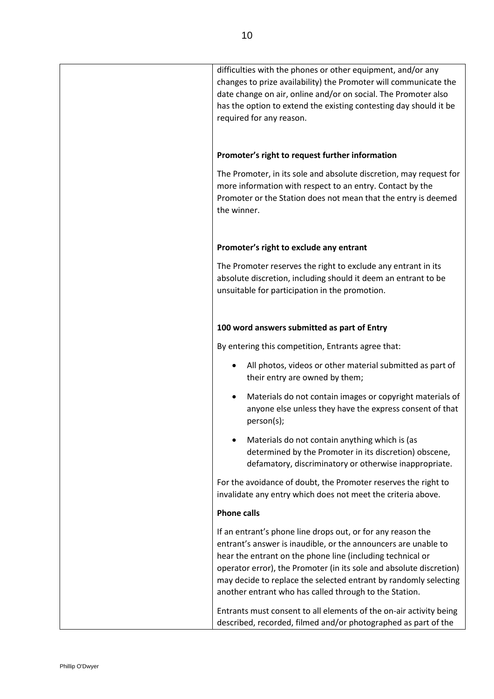| difficulties with the phones or other equipment, and/or any<br>changes to prize availability) the Promoter will communicate the<br>date change on air, online and/or on social. The Promoter also<br>has the option to extend the existing contesting day should it be<br>required for any reason.                                                                                               |
|--------------------------------------------------------------------------------------------------------------------------------------------------------------------------------------------------------------------------------------------------------------------------------------------------------------------------------------------------------------------------------------------------|
| Promoter's right to request further information                                                                                                                                                                                                                                                                                                                                                  |
| The Promoter, in its sole and absolute discretion, may request for<br>more information with respect to an entry. Contact by the<br>Promoter or the Station does not mean that the entry is deemed<br>the winner.                                                                                                                                                                                 |
| Promoter's right to exclude any entrant                                                                                                                                                                                                                                                                                                                                                          |
| The Promoter reserves the right to exclude any entrant in its<br>absolute discretion, including should it deem an entrant to be<br>unsuitable for participation in the promotion.                                                                                                                                                                                                                |
| 100 word answers submitted as part of Entry                                                                                                                                                                                                                                                                                                                                                      |
| By entering this competition, Entrants agree that:                                                                                                                                                                                                                                                                                                                                               |
| All photos, videos or other material submitted as part of<br>٠<br>their entry are owned by them;                                                                                                                                                                                                                                                                                                 |
| Materials do not contain images or copyright materials of<br>$\bullet$<br>anyone else unless they have the express consent of that<br>person(s);                                                                                                                                                                                                                                                 |
| Materials do not contain anything which is (as<br>determined by the Promoter in its discretion) obscene,<br>defamatory, discriminatory or otherwise inappropriate.                                                                                                                                                                                                                               |
| For the avoidance of doubt, the Promoter reserves the right to<br>invalidate any entry which does not meet the criteria above.                                                                                                                                                                                                                                                                   |
| <b>Phone calls</b>                                                                                                                                                                                                                                                                                                                                                                               |
| If an entrant's phone line drops out, or for any reason the<br>entrant's answer is inaudible, or the announcers are unable to<br>hear the entrant on the phone line (including technical or<br>operator error), the Promoter (in its sole and absolute discretion)<br>may decide to replace the selected entrant by randomly selecting<br>another entrant who has called through to the Station. |
| Entrants must consent to all elements of the on-air activity being<br>described, recorded, filmed and/or photographed as part of the                                                                                                                                                                                                                                                             |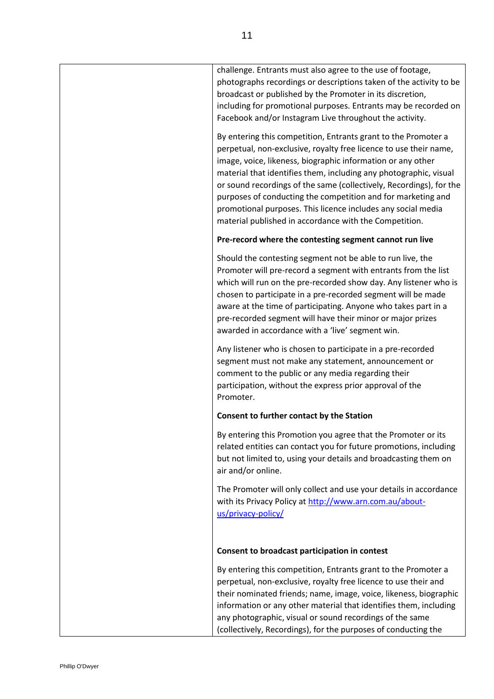| broadcast or published by the Promoter in its discretion,<br>including for promotional purposes. Entrants may be recorded on<br>Facebook and/or Instagram Live throughout the activity.                                                                                                                                                                                                                                                                                                                                                  |
|------------------------------------------------------------------------------------------------------------------------------------------------------------------------------------------------------------------------------------------------------------------------------------------------------------------------------------------------------------------------------------------------------------------------------------------------------------------------------------------------------------------------------------------|
| By entering this competition, Entrants grant to the Promoter a<br>perpetual, non-exclusive, royalty free licence to use their name,<br>image, voice, likeness, biographic information or any other<br>material that identifies them, including any photographic, visual<br>or sound recordings of the same (collectively, Recordings), for the<br>purposes of conducting the competition and for marketing and<br>promotional purposes. This licence includes any social media<br>material published in accordance with the Competition. |
| Pre-record where the contesting segment cannot run live                                                                                                                                                                                                                                                                                                                                                                                                                                                                                  |
| Should the contesting segment not be able to run live, the<br>Promoter will pre-record a segment with entrants from the list<br>which will run on the pre-recorded show day. Any listener who is<br>chosen to participate in a pre-recorded segment will be made<br>aware at the time of participating. Anyone who takes part in a<br>pre-recorded segment will have their minor or major prizes<br>awarded in accordance with a 'live' segment win.                                                                                     |
| Any listener who is chosen to participate in a pre-recorded<br>segment must not make any statement, announcement or<br>comment to the public or any media regarding their<br>participation, without the express prior approval of the<br>Promoter.                                                                                                                                                                                                                                                                                       |
| Consent to further contact by the Station                                                                                                                                                                                                                                                                                                                                                                                                                                                                                                |
| By entering this Promotion you agree that the Promoter or its<br>related entities can contact you for future promotions, including<br>but not limited to, using your details and broadcasting them on<br>air and/or online.                                                                                                                                                                                                                                                                                                              |
| The Promoter will only collect and use your details in accordance<br>with its Privacy Policy at http://www.arn.com.au/about-<br>us/privacy-policy/                                                                                                                                                                                                                                                                                                                                                                                       |
| Consent to broadcast participation in contest                                                                                                                                                                                                                                                                                                                                                                                                                                                                                            |
| By entering this competition, Entrants grant to the Promoter a<br>perpetual, non-exclusive, royalty free licence to use their and<br>their nominated friends; name, image, voice, likeness, biographic<br>information or any other material that identifies them, including<br>any photographic, visual or sound recordings of the same<br>(collectively, Recordings), for the purposes of conducting the                                                                                                                                |

challenge. Entrants must also agree to the use of footage,

photographs recordings or descriptions taken of the activity to be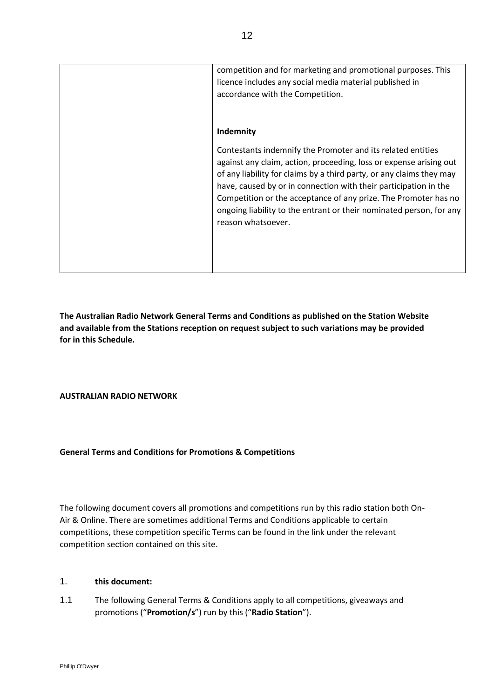| competition and for marketing and promotional purposes. This<br>licence includes any social media material published in<br>accordance with the Competition.                                                                                                                                                                                                                                                                                   |
|-----------------------------------------------------------------------------------------------------------------------------------------------------------------------------------------------------------------------------------------------------------------------------------------------------------------------------------------------------------------------------------------------------------------------------------------------|
| Indemnity                                                                                                                                                                                                                                                                                                                                                                                                                                     |
| Contestants indemnify the Promoter and its related entities<br>against any claim, action, proceeding, loss or expense arising out<br>of any liability for claims by a third party, or any claims they may<br>have, caused by or in connection with their participation in the<br>Competition or the acceptance of any prize. The Promoter has no<br>ongoing liability to the entrant or their nominated person, for any<br>reason whatsoever. |

**The Australian Radio Network General Terms and Conditions as published on the Station Website and available from the Stations reception on request subject to such variations may be provided for in this Schedule.**

#### **AUSTRALIAN RADIO NETWORK**

#### **General Terms and Conditions for Promotions & Competitions**

The following document covers all promotions and competitions run by this radio station both On-Air & Online. There are sometimes additional Terms and Conditions applicable to certain competitions, these competition specific Terms can be found in the link under the relevant competition section contained on this site.

## 1. **this document:**

1.1 The following General Terms & Conditions apply to all competitions, giveaways and promotions ("**Promotion/s**") run by this ("**Radio Station**").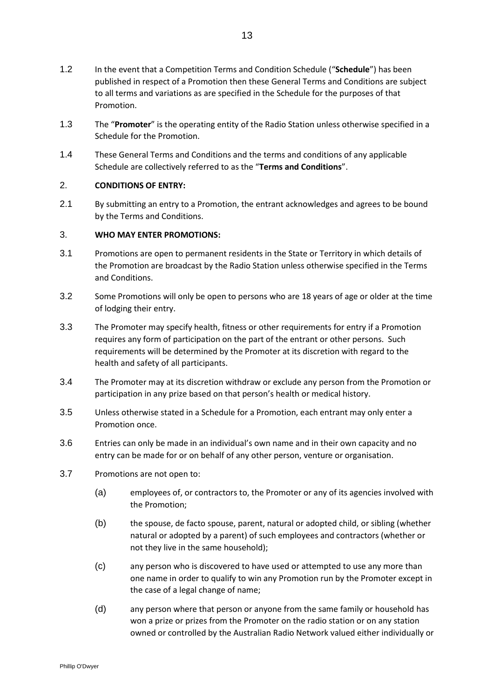- 1.2 In the event that a Competition Terms and Condition Schedule ("**Schedule**") has been published in respect of a Promotion then these General Terms and Conditions are subject to all terms and variations as are specified in the Schedule for the purposes of that Promotion.
- 1.3 The "**Promoter**" is the operating entity of the Radio Station unless otherwise specified in a Schedule for the Promotion.
- 1.4 These General Terms and Conditions and the terms and conditions of any applicable Schedule are collectively referred to as the "**Terms and Conditions**".

#### 2. **CONDITIONS OF ENTRY:**

2.1 By submitting an entry to a Promotion, the entrant acknowledges and agrees to be bound by the Terms and Conditions.

## 3. **WHO MAY ENTER PROMOTIONS:**

- 3.1 Promotions are open to permanent residents in the State or Territory in which details of the Promotion are broadcast by the Radio Station unless otherwise specified in the Terms and Conditions.
- 3.2 Some Promotions will only be open to persons who are 18 years of age or older at the time of lodging their entry.
- 3.3 The Promoter may specify health, fitness or other requirements for entry if a Promotion requires any form of participation on the part of the entrant or other persons. Such requirements will be determined by the Promoter at its discretion with regard to the health and safety of all participants.
- 3.4 The Promoter may at its discretion withdraw or exclude any person from the Promotion or participation in any prize based on that person's health or medical history.
- 3.5 Unless otherwise stated in a Schedule for a Promotion, each entrant may only enter a Promotion once.
- 3.6 Entries can only be made in an individual's own name and in their own capacity and no entry can be made for or on behalf of any other person, venture or organisation.
- 3.7 Promotions are not open to:
	- (a) employees of, or contractors to, the Promoter or any of its agencies involved with the Promotion;
	- (b) the spouse, de facto spouse, parent, natural or adopted child, or sibling (whether natural or adopted by a parent) of such employees and contractors (whether or not they live in the same household);
	- (c) any person who is discovered to have used or attempted to use any more than one name in order to qualify to win any Promotion run by the Promoter except in the case of a legal change of name;
	- (d) any person where that person or anyone from the same family or household has won a prize or prizes from the Promoter on the radio station or on any station owned or controlled by the Australian Radio Network valued either individually or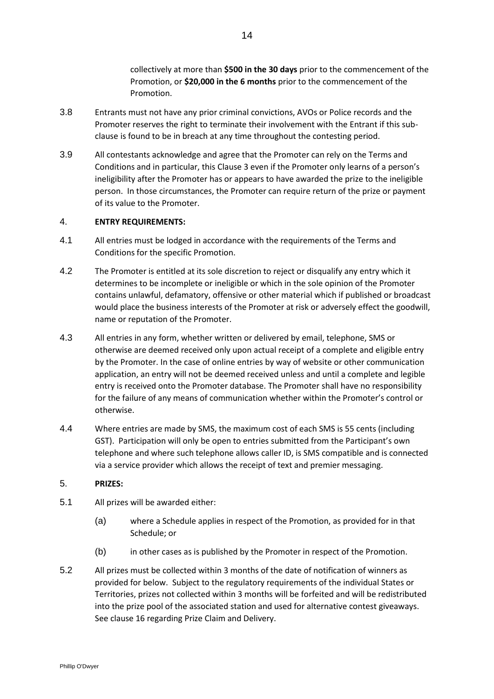collectively at more than **\$500 in the 30 days** prior to the commencement of the Promotion, or **\$20,000 in the 6 months** prior to the commencement of the Promotion.

- 3.8 Entrants must not have any prior criminal convictions, AVOs or Police records and the Promoter reserves the right to terminate their involvement with the Entrant if this subclause is found to be in breach at any time throughout the contesting period.
- 3.9 All contestants acknowledge and agree that the Promoter can rely on the Terms and Conditions and in particular, this Clause 3 even if the Promoter only learns of a person's ineligibility after the Promoter has or appears to have awarded the prize to the ineligible person. In those circumstances, the Promoter can require return of the prize or payment of its value to the Promoter.

#### 4. **ENTRY REQUIREMENTS:**

- 4.1 All entries must be lodged in accordance with the requirements of the Terms and Conditions for the specific Promotion.
- 4.2 The Promoter is entitled at its sole discretion to reject or disqualify any entry which it determines to be incomplete or ineligible or which in the sole opinion of the Promoter contains unlawful, defamatory, offensive or other material which if published or broadcast would place the business interests of the Promoter at risk or adversely effect the goodwill, name or reputation of the Promoter.
- 4.3 All entries in any form, whether written or delivered by email, telephone, SMS or otherwise are deemed received only upon actual receipt of a complete and eligible entry by the Promoter. In the case of online entries by way of website or other communication application, an entry will not be deemed received unless and until a complete and legible entry is received onto the Promoter database. The Promoter shall have no responsibility for the failure of any means of communication whether within the Promoter's control or otherwise.
- 4.4 Where entries are made by SMS, the maximum cost of each SMS is 55 cents (including GST). Participation will only be open to entries submitted from the Participant's own telephone and where such telephone allows caller ID, is SMS compatible and is connected via a service provider which allows the receipt of text and premier messaging.

#### 5. **PRIZES:**

- 5.1 All prizes will be awarded either:
	- (a) where a Schedule applies in respect of the Promotion, as provided for in that Schedule; or
	- (b) in other cases as is published by the Promoter in respect of the Promotion.
- 5.2 All prizes must be collected within 3 months of the date of notification of winners as provided for below. Subject to the regulatory requirements of the individual States or Territories, prizes not collected within 3 months will be forfeited and will be redistributed into the prize pool of the associated station and used for alternative contest giveaways. See clause 16 regarding Prize Claim and Delivery.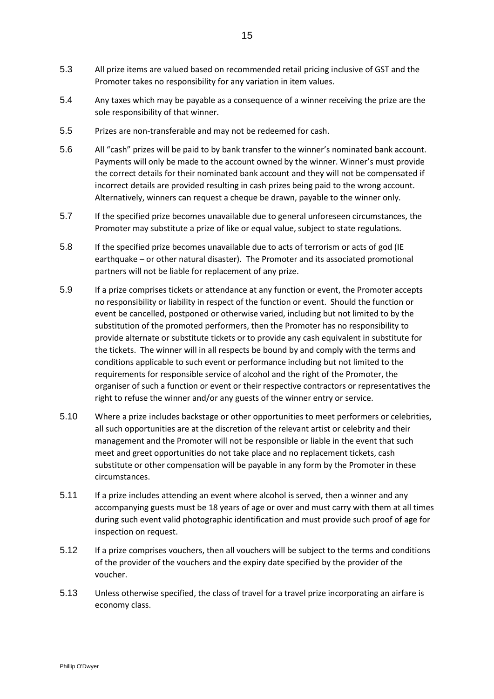- 5.3 All prize items are valued based on recommended retail pricing inclusive of GST and the Promoter takes no responsibility for any variation in item values.
- 5.4 Any taxes which may be payable as a consequence of a winner receiving the prize are the sole responsibility of that winner.
- 5.5 Prizes are non-transferable and may not be redeemed for cash.
- 5.6 All "cash" prizes will be paid to by bank transfer to the winner's nominated bank account. Payments will only be made to the account owned by the winner. Winner's must provide the correct details for their nominated bank account and they will not be compensated if incorrect details are provided resulting in cash prizes being paid to the wrong account. Alternatively, winners can request a cheque be drawn, payable to the winner only.
- 5.7 If the specified prize becomes unavailable due to general unforeseen circumstances, the Promoter may substitute a prize of like or equal value, subject to state regulations.
- 5.8 If the specified prize becomes unavailable due to acts of terrorism or acts of god (IE earthquake – or other natural disaster). The Promoter and its associated promotional partners will not be liable for replacement of any prize.
- 5.9 If a prize comprises tickets or attendance at any function or event, the Promoter accepts no responsibility or liability in respect of the function or event. Should the function or event be cancelled, postponed or otherwise varied, including but not limited to by the substitution of the promoted performers, then the Promoter has no responsibility to provide alternate or substitute tickets or to provide any cash equivalent in substitute for the tickets. The winner will in all respects be bound by and comply with the terms and conditions applicable to such event or performance including but not limited to the requirements for responsible service of alcohol and the right of the Promoter, the organiser of such a function or event or their respective contractors or representatives the right to refuse the winner and/or any guests of the winner entry or service.
- 5.10 Where a prize includes backstage or other opportunities to meet performers or celebrities, all such opportunities are at the discretion of the relevant artist or celebrity and their management and the Promoter will not be responsible or liable in the event that such meet and greet opportunities do not take place and no replacement tickets, cash substitute or other compensation will be payable in any form by the Promoter in these circumstances.
- 5.11 If a prize includes attending an event where alcohol is served, then a winner and any accompanying guests must be 18 years of age or over and must carry with them at all times during such event valid photographic identification and must provide such proof of age for inspection on request.
- 5.12 If a prize comprises vouchers, then all vouchers will be subject to the terms and conditions of the provider of the vouchers and the expiry date specified by the provider of the voucher.
- 5.13 Unless otherwise specified, the class of travel for a travel prize incorporating an airfare is economy class.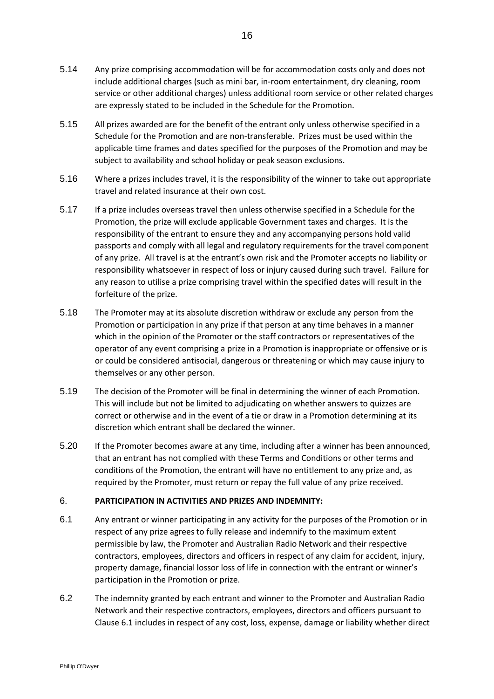- 5.14 Any prize comprising accommodation will be for accommodation costs only and does not include additional charges (such as mini bar, in-room entertainment, dry cleaning, room service or other additional charges) unless additional room service or other related charges are expressly stated to be included in the Schedule for the Promotion.
- 5.15 All prizes awarded are for the benefit of the entrant only unless otherwise specified in a Schedule for the Promotion and are non-transferable. Prizes must be used within the applicable time frames and dates specified for the purposes of the Promotion and may be subject to availability and school holiday or peak season exclusions.
- 5.16 Where a prizes includes travel, it is the responsibility of the winner to take out appropriate travel and related insurance at their own cost.
- 5.17 If a prize includes overseas travel then unless otherwise specified in a Schedule for the Promotion, the prize will exclude applicable Government taxes and charges. It is the responsibility of the entrant to ensure they and any accompanying persons hold valid passports and comply with all legal and regulatory requirements for the travel component of any prize. All travel is at the entrant's own risk and the Promoter accepts no liability or responsibility whatsoever in respect of loss or injury caused during such travel. Failure for any reason to utilise a prize comprising travel within the specified dates will result in the forfeiture of the prize.
- 5.18 The Promoter may at its absolute discretion withdraw or exclude any person from the Promotion or participation in any prize if that person at any time behaves in a manner which in the opinion of the Promoter or the staff contractors or representatives of the operator of any event comprising a prize in a Promotion is inappropriate or offensive or is or could be considered antisocial, dangerous or threatening or which may cause injury to themselves or any other person.
- 5.19 The decision of the Promoter will be final in determining the winner of each Promotion. This will include but not be limited to adjudicating on whether answers to quizzes are correct or otherwise and in the event of a tie or draw in a Promotion determining at its discretion which entrant shall be declared the winner.
- 5.20 If the Promoter becomes aware at any time, including after a winner has been announced, that an entrant has not complied with these Terms and Conditions or other terms and conditions of the Promotion, the entrant will have no entitlement to any prize and, as required by the Promoter, must return or repay the full value of any prize received.

#### 6. **PARTICIPATION IN ACTIVITIES AND PRIZES AND INDEMNITY:**

- <span id="page-15-0"></span>6.1 Any entrant or winner participating in any activity for the purposes of the Promotion or in respect of any prize agrees to fully release and indemnify to the maximum extent permissible by law, the Promoter and Australian Radio Network and their respective contractors, employees, directors and officers in respect of any claim for accident, injury, property damage, financial lossor loss of life in connection with the entrant or winner's participation in the Promotion or prize.
- 6.2 The indemnity granted by each entrant and winner to the Promoter and Australian Radio Network and their respective contractors, employees, directors and officers pursuant to Clause 6.1 includes in respect of any cost, loss, expense, damage or liability whether direct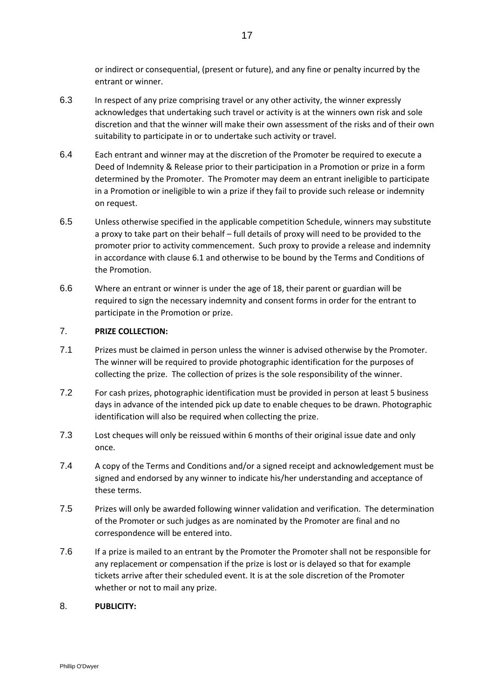or indirect or consequential, (present or future), and any fine or penalty incurred by the entrant or winner.

- 6.3 In respect of any prize comprising travel or any other activity, the winner expressly acknowledges that undertaking such travel or activity is at the winners own risk and sole discretion and that the winner will make their own assessment of the risks and of their own suitability to participate in or to undertake such activity or travel.
- 6.4 Each entrant and winner may at the discretion of the Promoter be required to execute a Deed of Indemnity & Release prior to their participation in a Promotion or prize in a form determined by the Promoter. The Promoter may deem an entrant ineligible to participate in a Promotion or ineligible to win a prize if they fail to provide such release or indemnity on request.
- 6.5 Unless otherwise specified in the applicable competition Schedule, winners may substitute a proxy to take part on their behalf – full details of proxy will need to be provided to the promoter prior to activity commencement. Such proxy to provide a release and indemnity in accordance with clause [6.1](#page-15-0) and otherwise to be bound by the Terms and Conditions of the Promotion.
- 6.6 Where an entrant or winner is under the age of 18, their parent or guardian will be required to sign the necessary indemnity and consent forms in order for the entrant to participate in the Promotion or prize.

#### 7. **PRIZE COLLECTION:**

- 7.1 Prizes must be claimed in person unless the winner is advised otherwise by the Promoter. The winner will be required to provide photographic identification for the purposes of collecting the prize. The collection of prizes is the sole responsibility of the winner.
- 7.2 For cash prizes, photographic identification must be provided in person at least 5 business days in advance of the intended pick up date to enable cheques to be drawn. Photographic identification will also be required when collecting the prize.
- 7.3 Lost cheques will only be reissued within 6 months of their original issue date and only once.
- 7.4 A copy of the Terms and Conditions and/or a signed receipt and acknowledgement must be signed and endorsed by any winner to indicate his/her understanding and acceptance of these terms.
- 7.5 Prizes will only be awarded following winner validation and verification. The determination of the Promoter or such judges as are nominated by the Promoter are final and no correspondence will be entered into.
- 7.6 If a prize is mailed to an entrant by the Promoter the Promoter shall not be responsible for any replacement or compensation if the prize is lost or is delayed so that for example tickets arrive after their scheduled event. It is at the sole discretion of the Promoter whether or not to mail any prize.

#### 8. **PUBLICITY:**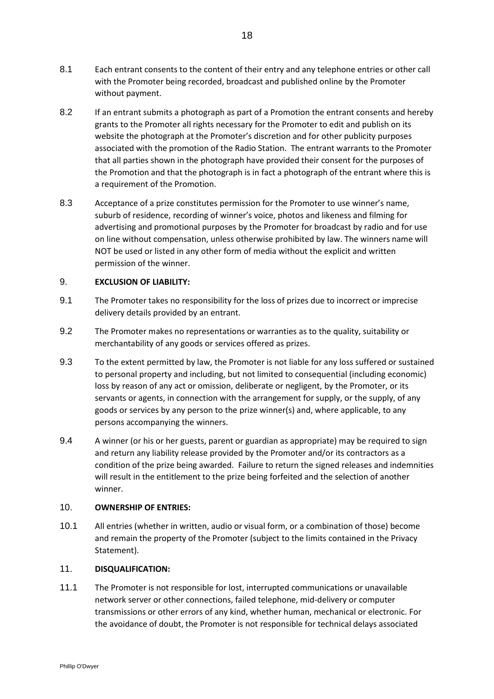- 8.1 Each entrant consents to the content of their entry and any telephone entries or other call with the Promoter being recorded, broadcast and published online by the Promoter without payment.
- 8.2 If an entrant submits a photograph as part of a Promotion the entrant consents and hereby grants to the Promoter all rights necessary for the Promoter to edit and publish on its website the photograph at the Promoter's discretion and for other publicity purposes associated with the promotion of the Radio Station. The entrant warrants to the Promoter that all parties shown in the photograph have provided their consent for the purposes of the Promotion and that the photograph is in fact a photograph of the entrant where this is a requirement of the Promotion.
- 8.3 Acceptance of a prize constitutes permission for the Promoter to use winner's name, suburb of residence, recording of winner's voice, photos and likeness and filming for advertising and promotional purposes by the Promoter for broadcast by radio and for use on line without compensation, unless otherwise prohibited by law. The winners name will NOT be used or listed in any other form of media without the explicit and written permission of the winner.

#### 9. **EXCLUSION OF LIABILITY:**

- 9.1 The Promoter takes no responsibility for the loss of prizes due to incorrect or imprecise delivery details provided by an entrant.
- 9.2 The Promoter makes no representations or warranties as to the quality, suitability or merchantability of any goods or services offered as prizes.
- 9.3 To the extent permitted by law, the Promoter is not liable for any loss suffered or sustained to personal property and including, but not limited to consequential (including economic) loss by reason of any act or omission, deliberate or negligent, by the Promoter, or its servants or agents, in connection with the arrangement for supply, or the supply, of any goods or services by any person to the prize winner(s) and, where applicable, to any persons accompanying the winners.
- 9.4 A winner (or his or her guests, parent or guardian as appropriate) may be required to sign and return any liability release provided by the Promoter and/or its contractors as a condition of the prize being awarded. Failure to return the signed releases and indemnities will result in the entitlement to the prize being forfeited and the selection of another winner.

#### 10. **OWNERSHIP OF ENTRIES:**

10.1 All entries (whether in written, audio or visual form, or a combination of those) become and remain the property of the Promoter (subject to the limits contained in the Privacy Statement).

## 11. **DISQUALIFICATION:**

11.1 The Promoter is not responsible for lost, interrupted communications or unavailable network server or other connections, failed telephone, mid-delivery or computer transmissions or other errors of any kind, whether human, mechanical or electronic. For the avoidance of doubt, the Promoter is not responsible for technical delays associated